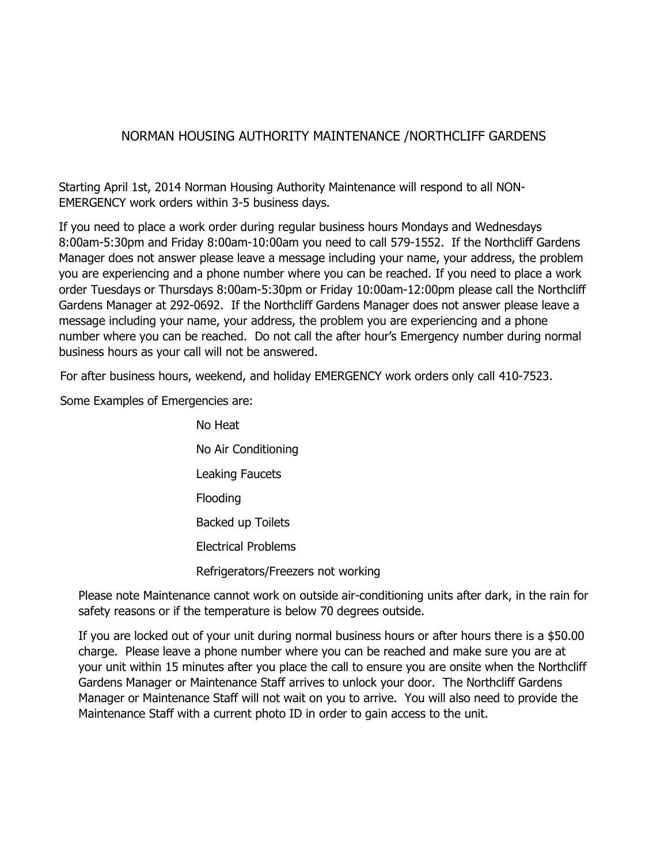## NORMAN HOUSING AUTHORITY MAINTENANCE /NORTHCLIFF GARDENS

Starting April 1st, 2014 Norman Housing Authority Maintenance will respond to all NON-EMERGENCY work orders within 3-5 business days.

If you need to place a work order during regular business hours Mondays and Wednesdays 8:00am-5:30pm and Friday 8:00am-10:00am you need to call 579-1552. If the Northcliff Gardens Manager does not answer please leave a message including your name, your address, the problem you are experiencing and a phone number where you can be reached. If you need to place a work order Tuesdays or Thursdays 8:00am-5:30pm or Friday 10:00am-12:00pm please call the Northcliff Gardens Manager at 292-0692. If the Northcliff Gardens Manager does not answer please leave a message including your name, your address, the problem you are experiencing and a phone number where you can be reached. Do not call the after hour's Emergency number during normal business hours as your call will not be answered.

For after business hours, weekend, and holiday EMERGENCY work orders only call 410-7523.

Some Examples of Emergencies are:

No Heat No Air Conditioning Leaking Faucets Flooding Backed up Toilets Electrical Problems Refrigerators/Freezers not working

Please note Maintenance cannot work on outside air-conditioning units after dark, in the rain for safety reasons or if the temperature is below 70 degrees outside.

If you are locked out of your unit during normal business hours or after hours there is a \$50.00 charge. Please leave a phone number where you can be reached and make sure you are at your unit within 15 minutes after you place the call to ensure you are onsite when the Northcliff Gardens Manager or Maintenance Staff arrives to unlock your door. The Northcliff Gardens Manager or Maintenance Staff will not wait on you to arrive. You will also need to provide the Maintenance Staff with a current photo ID in order to gain access to the unit.